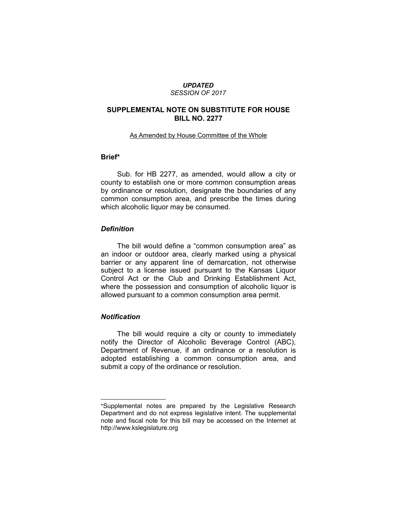#### *UPDATED SESSION OF 2017*

# **SUPPLEMENTAL NOTE ON SUBSTITUTE FOR HOUSE BILL NO. 2277**

#### As Amended by House Committee of the Whole

# **Brief\***

Sub. for HB 2277, as amended, would allow a city or county to establish one or more common consumption areas by ordinance or resolution, designate the boundaries of any common consumption area, and prescribe the times during which alcoholic liquor may be consumed.

# *Definition*

The bill would define a "common consumption area" as an indoor or outdoor area, clearly marked using a physical barrier or any apparent line of demarcation, not otherwise subject to a license issued pursuant to the Kansas Liquor Control Act or the Club and Drinking Establishment Act, where the possession and consumption of alcoholic liquor is allowed pursuant to a common consumption area permit.

### *Notification*

 $\overline{\phantom{a}}$  , where  $\overline{\phantom{a}}$  , where  $\overline{\phantom{a}}$ 

The bill would require a city or county to immediately notify the Director of Alcoholic Beverage Control (ABC), Department of Revenue, if an ordinance or a resolution is adopted establishing a common consumption area, and submit a copy of the ordinance or resolution.

<sup>\*</sup>Supplemental notes are prepared by the Legislative Research Department and do not express legislative intent. The supplemental note and fiscal note for this bill may be accessed on the Internet at http://www.kslegislature.org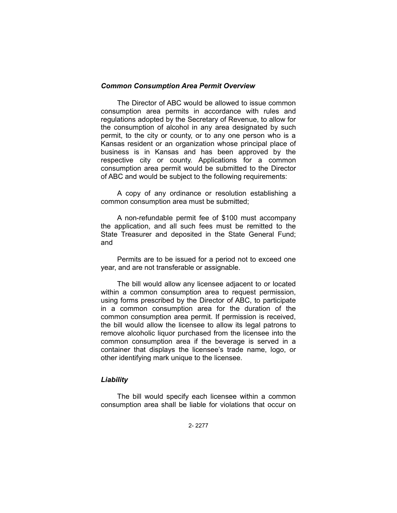#### *Common Consumption Area Permit Overview*

The Director of ABC would be allowed to issue common consumption area permits in accordance with rules and regulations adopted by the Secretary of Revenue, to allow for the consumption of alcohol in any area designated by such permit, to the city or county, or to any one person who is a Kansas resident or an organization whose principal place of business is in Kansas and has been approved by the respective city or county. Applications for a common consumption area permit would be submitted to the Director of ABC and would be subject to the following requirements:

A copy of any ordinance or resolution establishing a common consumption area must be submitted;

A non-refundable permit fee of \$100 must accompany the application, and all such fees must be remitted to the State Treasurer and deposited in the State General Fund; and

Permits are to be issued for a period not to exceed one year, and are not transferable or assignable.

The bill would allow any licensee adjacent to or located within a common consumption area to request permission, using forms prescribed by the Director of ABC, to participate in a common consumption area for the duration of the common consumption area permit. If permission is received, the bill would allow the licensee to allow its legal patrons to remove alcoholic liquor purchased from the licensee into the common consumption area if the beverage is served in a container that displays the licensee's trade name, logo, or other identifying mark unique to the licensee.

#### *Liability*

The bill would specify each licensee within a common consumption area shall be liable for violations that occur on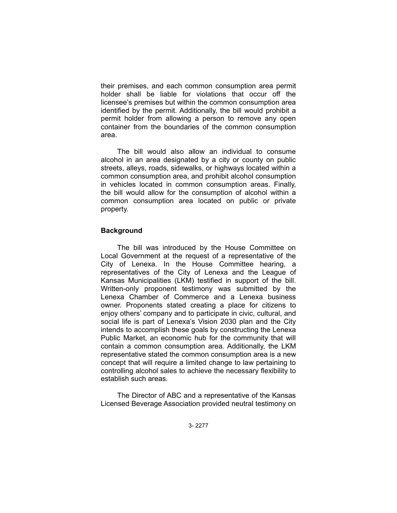their premises, and each common consumption area permit holder shall be liable for violations that occur off the licensee's premises but within the common consumption area identified by the permit. Additionally, the bill would prohibit a permit holder from allowing a person to remove any open container from the boundaries of the common consumption area.

The bill would also allow an individual to consume alcohol in an area designated by a city or county on public streets, alleys, roads, sidewalks, or highways located within a common consumption area, and prohibit alcohol consumption in vehicles located in common consumption areas. Finally, the bill would allow for the consumption of alcohol within a common consumption area located on public or private property.

# **Background**

The bill was introduced by the House Committee on Local Government at the request of a representative of the City of Lenexa. In the House Committee hearing, a representatives of the City of Lenexa and the League of Kansas Municipalities (LKM) testified in support of the bill. Written-only proponent testimony was submitted by the Lenexa Chamber of Commerce and a Lenexa business owner. Proponents stated creating a place for citizens to enjoy others' company and to participate in civic, cultural, and social life is part of Lenexa's Vision 2030 plan and the City intends to accomplish these goals by constructing the Lenexa Public Market, an economic hub for the community that will contain a common consumption area. Additionally, the LKM representative stated the common consumption area is a new concept that will require a limited change to law pertaining to controlling alcohol sales to achieve the necessary flexibility to establish such areas.

The Director of ABC and a representative of the Kansas Licensed Beverage Association provided neutral testimony on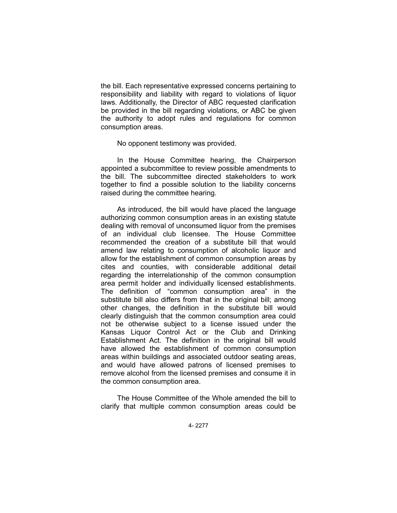the bill. Each representative expressed concerns pertaining to responsibility and liability with regard to violations of liquor laws. Additionally, the Director of ABC requested clarification be provided in the bill regarding violations, or ABC be given the authority to adopt rules and regulations for common consumption areas.

No opponent testimony was provided.

In the House Committee hearing, the Chairperson appointed a subcommittee to review possible amendments to the bill. The subcommittee directed stakeholders to work together to find a possible solution to the liability concerns raised during the committee hearing.

As introduced, the bill would have placed the language authorizing common consumption areas in an existing statute dealing with removal of unconsumed liquor from the premises of an individual club licensee. The House Committee recommended the creation of a substitute bill that would amend law relating to consumption of alcoholic liquor and allow for the establishment of common consumption areas by cites and counties, with considerable additional detail regarding the interrelationship of the common consumption area permit holder and individually licensed establishments. The definition of "common consumption area" in the substitute bill also differs from that in the original bill; among other changes, the definition in the substitute bill would clearly distinguish that the common consumption area could not be otherwise subject to a license issued under the Kansas Liquor Control Act or the Club and Drinking Establishment Act. The definition in the original bill would have allowed the establishment of common consumption areas within buildings and associated outdoor seating areas, and would have allowed patrons of licensed premises to remove alcohol from the licensed premises and consume it in the common consumption area.

The House Committee of the Whole amended the bill to clarify that multiple common consumption areas could be